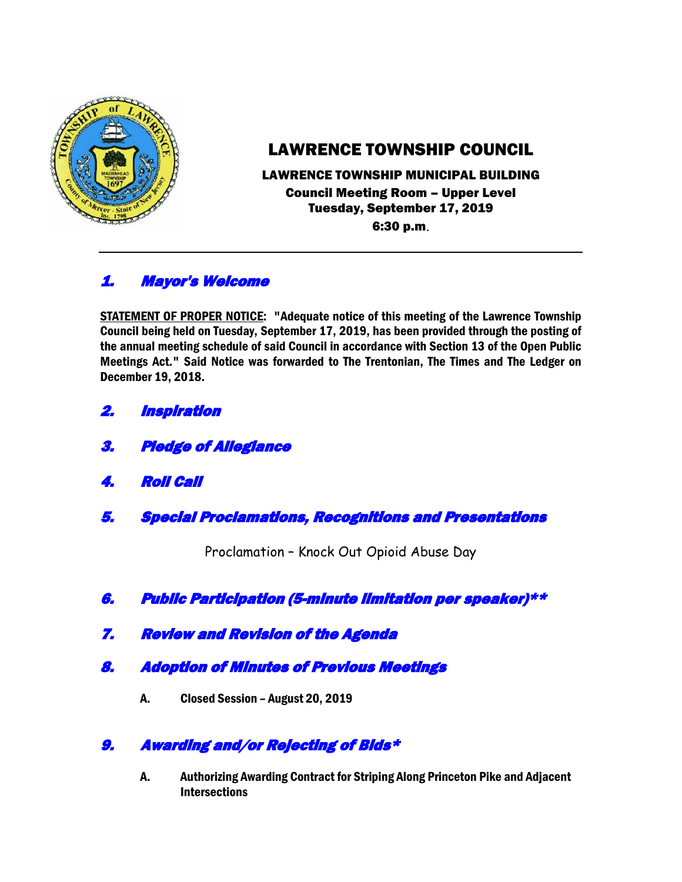

# LAWRENCE TOWNSHIP COUNCIL

#### LAWRENCE TOWNSHIP MUNICIPAL BUILDING Council Meeting Room – Upper Level Tuesday, September 17, 2019 6:30 p.m.

## 1. Mayor's Welcome

STATEMENT OF PROPER NOTICE: "Adequate notice of this meeting of the Lawrence Township Council being held on Tuesday, September 17, 2019, has been provided through the posting of the annual meeting schedule of said Council in accordance with Section 13 of the Open Public Meetings Act." Said Notice was forwarded to The Trentonian, The Times and The Ledger on December 19, 2018.

- 2. Inspiration
- 3. Pledge of Allegiance
- 4. Roll Call
- 5. Special Proclamations, Recognitions and Presentations

Proclamation – Knock Out Opioid Abuse Day

- 6. Public Participation (5-minute limitation per speaker)\*\*
- 7. Review and Revision of the Agenda
- 8. Adoption of Minutes of Previous Meetings
	- A. Closed Session August 20, 2019

### 9. Awarding and/or Rejecting of Bids\*

A. Authorizing Awarding Contract for Striping Along Princeton Pike and Adjacent **Intersections**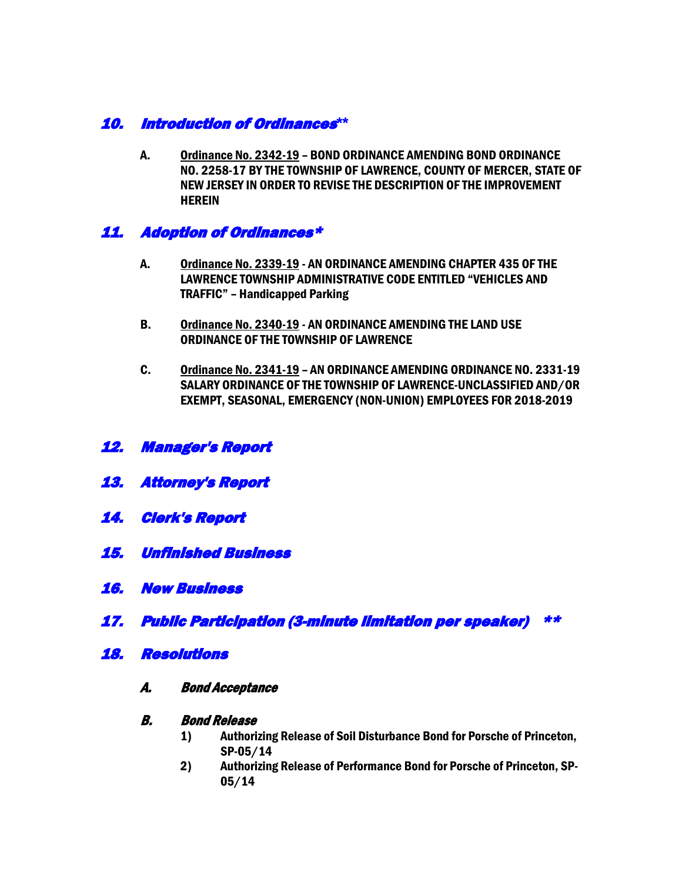### 10. Introduction of Ordinances**\*\***

A. Ordinance No. 2342-19 – BOND ORDINANCE AMENDING BOND ORDINANCE NO. 2258-17 BY THE TOWNSHIP OF LAWRENCE, COUNTY OF MERCER, STATE OF NEW JERSEY IN ORDER TO REVISE THE DESCRIPTION OF THE IMPROVEMENT HEREIN

### 11. Adoption of Ordinances\*

- A. Ordinance No. 2339-19 AN ORDINANCE AMENDING CHAPTER 435 OF THE LAWRENCE TOWNSHIP ADMINISTRATIVE CODE ENTITLED "VEHICLES AND TRAFFIC" – Handicapped Parking
- B. Ordinance No. 2340-19 AN ORDINANCE AMENDING THE LAND USE ORDINANCE OF THE TOWNSHIP OF LAWRENCE
- C. Ordinance No. 2341-19 AN ORDINANCE AMENDING ORDINANCE NO. 2331-19 SALARY ORDINANCE OF THE TOWNSHIP OF LAWRENCE-UNCLASSIFIED AND/OR EXEMPT, SEASONAL, EMERGENCY (NON-UNION) EMPLOYEES FOR 2018-2019
- 12. Manager's Report
- 13. Attorney's Report
- 14. Clerk's Report
- 15. Unfinished Business
- 16. New Business
- 17. Public Participation (3-minute limitation per speaker) \*\*
- 18. Resolutions
	- A. Bond Acceptance

#### B. Bond Release

- 1) Authorizing Release of Soil Disturbance Bond for Porsche of Princeton, SP-05/14
- 2) Authorizing Release of Performance Bond for Porsche of Princeton, SP-05/14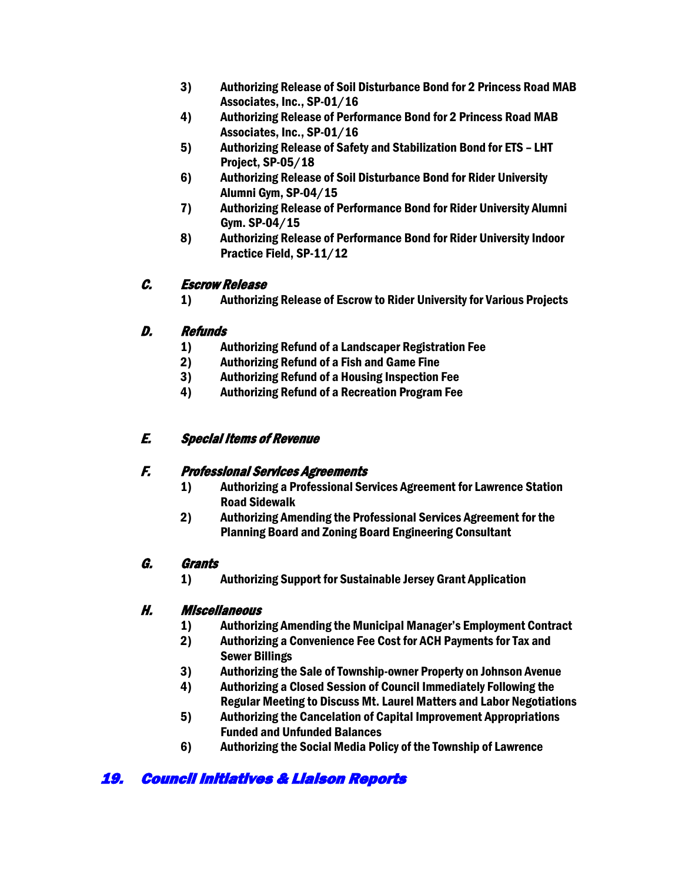- 3) Authorizing Release of Soil Disturbance Bond for 2 Princess Road MAB Associates, Inc., SP-01/16
- 4) Authorizing Release of Performance Bond for 2 Princess Road MAB Associates, Inc., SP-01/16
- 5) Authorizing Release of Safety and Stabilization Bond for ETS LHT Project, SP-05/18
- 6) Authorizing Release of Soil Disturbance Bond for Rider University Alumni Gym, SP-04/15
- 7) Authorizing Release of Performance Bond for Rider University Alumni Gym. SP-04/15
- 8) Authorizing Release of Performance Bond for Rider University Indoor Practice Field, SP-11/12

#### C. Escrow Release

1) Authorizing Release of Escrow to Rider University for Various Projects

### D. Refunds

- 1) Authorizing Refund of a Landscaper Registration Fee
- 2) Authorizing Refund of a Fish and Game Fine
- 3) Authorizing Refund of a Housing Inspection Fee
- 4) Authorizing Refund of a Recreation Program Fee

### E. Special Items of Revenue

### F. Professional Services Agreements

- 1) Authorizing a Professional Services Agreement for Lawrence Station Road Sidewalk
- 2) Authorizing Amending the Professional Services Agreement for the Planning Board and Zoning Board Engineering Consultant

### G. Grants

1) Authorizing Support for Sustainable Jersey Grant Application

### H. Miscellaneous

- 1) Authorizing Amending the Municipal Manager's Employment Contract
- 2) Authorizing a Convenience Fee Cost for ACH Payments for Tax and Sewer Billings
- 3) Authorizing the Sale of Township-owner Property on Johnson Avenue
- 4) Authorizing a Closed Session of Council Immediately Following the Regular Meeting to Discuss Mt. Laurel Matters and Labor Negotiations
- 5) Authorizing the Cancelation of Capital Improvement Appropriations Funded and Unfunded Balances
- 6) Authorizing the Social Media Policy of the Township of Lawrence

# 19. Council Initiatives & Liaison Reports